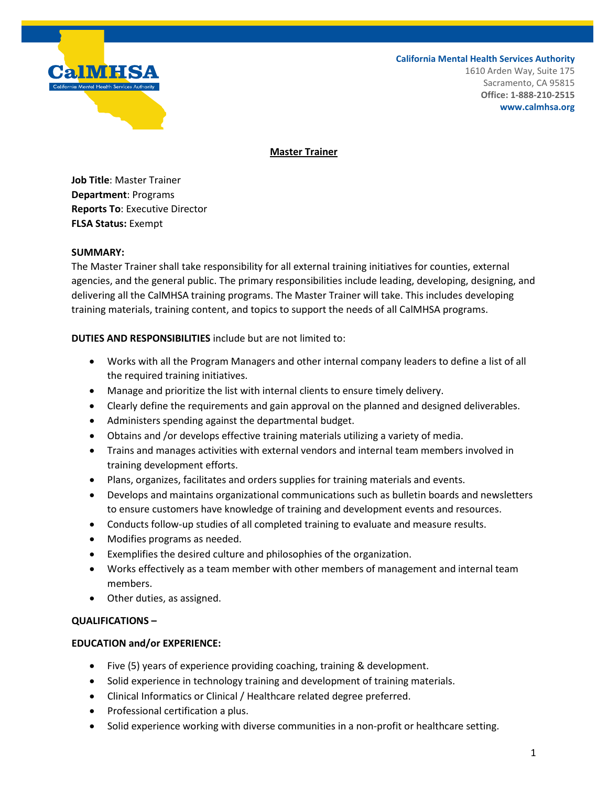

### **California Mental Health Services Authority**

1610 Arden Way, Suite 175 Sacramento, CA 95815 **Office: 1-888-210-2515 www.calmhsa.org**

# **Master Trainer**

**Job Title**: Master Trainer **Department**: Programs **Reports To**: Executive Director **FLSA Status:** Exempt

# **SUMMARY:**

The Master Trainer shall take responsibility for all external training initiatives for counties, external agencies, and the general public. The primary responsibilities include leading, developing, designing, and delivering all the CalMHSA training programs. The Master Trainer will take. This includes developing training materials, training content, and topics to support the needs of all CalMHSA programs.

**DUTIES AND RESPONSIBILITIES** include but are not limited to:

- Works with all the Program Managers and other internal company leaders to define a list of all the required training initiatives.
- Manage and prioritize the list with internal clients to ensure timely delivery.
- Clearly define the requirements and gain approval on the planned and designed deliverables.
- Administers spending against the departmental budget.
- Obtains and /or develops effective training materials utilizing a variety of media.
- Trains and manages activities with external vendors and internal team members involved in training development efforts.
- Plans, organizes, facilitates and orders supplies for training materials and events.
- Develops and maintains organizational communications such as bulletin boards and newsletters to ensure customers have knowledge of training and development events and resources.
- Conducts follow-up studies of all completed training to evaluate and measure results.
- Modifies programs as needed.
- Exemplifies the desired culture and philosophies of the organization.
- Works effectively as a team member with other members of management and internal team members.
- Other duties, as assigned.

# **QUALIFICATIONS –**

# **EDUCATION and/or EXPERIENCE:**

- Five (5) years of experience providing coaching, training & development.
- Solid experience in technology training and development of training materials.
- Clinical Informatics or Clinical / Healthcare related degree preferred.
- Professional certification a plus.
- Solid experience working with diverse communities in a non-profit or healthcare setting.